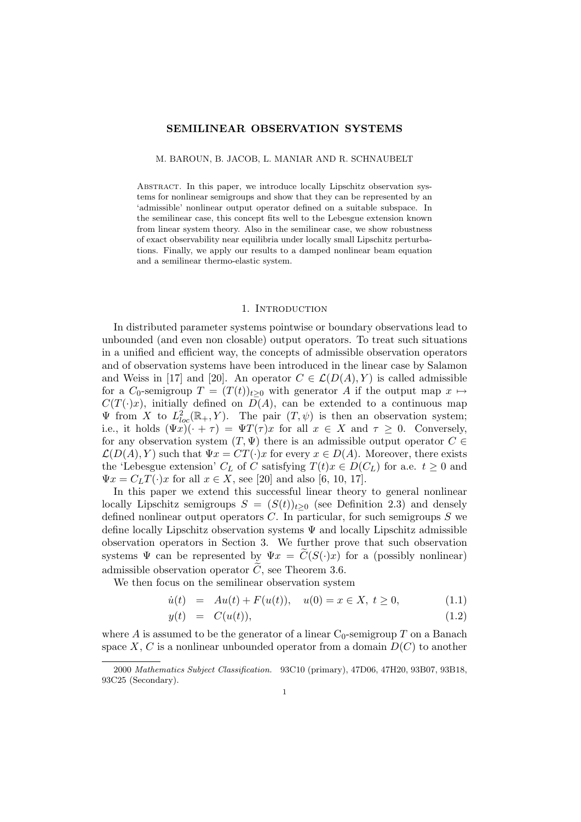# SEMILINEAR OBSERVATION SYSTEMS

M. BAROUN, B. JACOB, L. MANIAR AND R. SCHNAUBELT

Abstract. In this paper, we introduce locally Lipschitz observation systems for nonlinear semigroups and show that they can be represented by an 'admissible' nonlinear output operator defined on a suitable subspace. In the semilinear case, this concept fits well to the Lebesgue extension known from linear system theory. Also in the semilinear case, we show robustness of exact observability near equilibria under locally small Lipschitz perturbations. Finally, we apply our results to a damped nonlinear beam equation and a semilinear thermo-elastic system.

#### 1. INTRODUCTION

In distributed parameter systems pointwise or boundary observations lead to unbounded (and even non closable) output operators. To treat such situations in a unified and efficient way, the concepts of admissible observation operators and of observation systems have been introduced in the linear case by Salamon and Weiss in [17] and [20]. An operator  $C \in \mathcal{L}(D(A), Y)$  is called admissible for a  $C_0$ -semigroup  $T = (T(t))_{t>0}$  with generator A if the output map  $x \mapsto$  $C(T(\cdot)x)$ , initially defined on  $D(A)$ , can be extended to a continuous map  $\Psi$  from X to  $L^2_{loc}(\mathbb{R}_+, Y)$ . The pair  $(T, \psi)$  is then an observation system; i.e., it holds  $(\Psi x)(\cdot + \tau) = \Psi T(\tau)x$  for all  $x \in X$  and  $\tau \geq 0$ . Conversely, for any observation system  $(T, \Psi)$  there is an admissible output operator  $C \in$  $\mathcal{L}(D(A), Y)$  such that  $\Psi x = CT(\cdot)x$  for every  $x \in D(A)$ . Moreover, there exists the 'Lebesgue extension'  $C_L$  of C satisfying  $T(t)x \in D(C_L)$  for a.e.  $t \geq 0$  and  $\Psi x = C_L T(\cdot) x$  for all  $x \in X$ , see [20] and also [6, 10, 17].

In this paper we extend this successful linear theory to general nonlinear locally Lipschitz semigroups  $S = (S(t))_{t\geq0}$  (see Definition 2.3) and densely defined nonlinear output operators  $C$ . In particular, for such semigroups  $S$  we define locally Lipschitz observation systems  $\Psi$  and locally Lipschitz admissible observation operators in Section 3. We further prove that such observation systems  $\Psi$  can be represented by  $\Psi x = C(S(\cdot)x)$  for a (possibly nonlinear) admissible observation operator  $\widetilde{C}$ , see Theorem 3.6.

We then focus on the semilinear observation system

$$
\dot{u}(t) = Au(t) + F(u(t)), \quad u(0) = x \in X, \ t \ge 0,
$$
\n(1.1)

$$
y(t) = C(u(t)), \qquad (1.2)
$$

where A is assumed to be the generator of a linear  $C_0$ -semigroup T on a Banach space X, C is a nonlinear unbounded operator from a domain  $D(C)$  to another

<sup>2000</sup> Mathematics Subject Classification. 93C10 (primary), 47D06, 47H20, 93B07, 93B18, 93C25 (Secondary).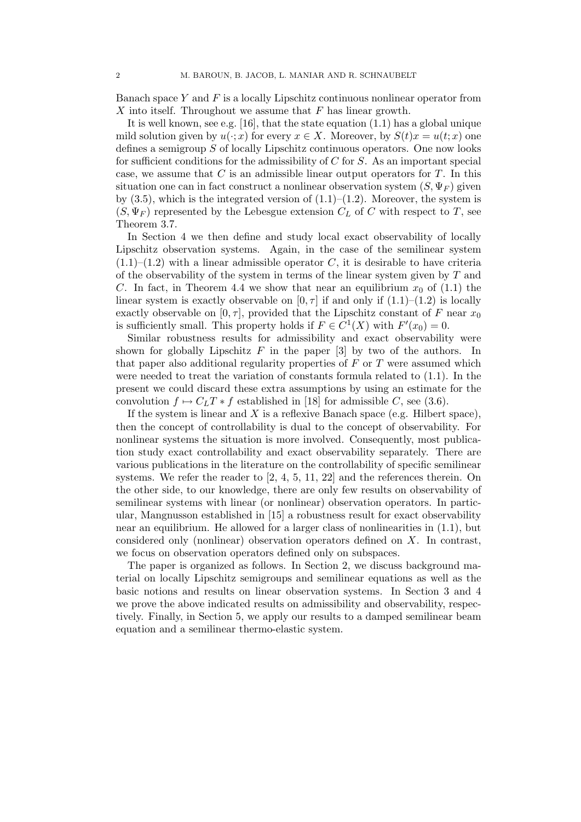Banach space Y and  $F$  is a locally Lipschitz continuous nonlinear operator from X into itself. Throughout we assume that  $F$  has linear growth.

It is well known, see e.g. [16], that the state equation (1.1) has a global unique mild solution given by  $u(\cdot; x)$  for every  $x \in X$ . Moreover, by  $S(t)x = u(t; x)$  one defines a semigroup S of locally Lipschitz continuous operators. One now looks for sufficient conditions for the admissibility of  $C$  for  $S$ . As an important special case, we assume that  $C$  is an admissible linear output operators for  $T$ . In this situation one can in fact construct a nonlinear observation system  $(S, \Psi_F)$  given by  $(3.5)$ , which is the integrated version of  $(1.1)$ – $(1.2)$ . Moreover, the system is  $(S, \Psi_F)$  represented by the Lebesgue extension  $C_L$  of C with respect to T, see Theorem 3.7.

In Section 4 we then define and study local exact observability of locally Lipschitz observation systems. Again, in the case of the semilinear system  $(1.1)$ – $(1.2)$  with a linear admissible operator C, it is desirable to have criteria of the observability of the system in terms of the linear system given by  $T$  and C. In fact, in Theorem 4.4 we show that near an equilibrium  $x_0$  of (1.1) the linear system is exactly observable on  $[0, \tau]$  if and only if  $(1.1)$ – $(1.2)$  is locally exactly observable on [0,  $\tau$ ], provided that the Lipschitz constant of F near  $x_0$ is sufficiently small. This property holds if  $F \in C^1(X)$  with  $F'(x_0) = 0$ .

Similar robustness results for admissibility and exact observability were shown for globally Lipschitz  $F$  in the paper  $[3]$  by two of the authors. In that paper also additional regularity properties of  $F$  or  $T$  were assumed which were needed to treat the variation of constants formula related to (1.1). In the present we could discard these extra assumptions by using an estimate for the convolution  $f \mapsto C_L T * f$  established in [18] for admissible C, see (3.6).

If the system is linear and  $X$  is a reflexive Banach space (e.g. Hilbert space), then the concept of controllability is dual to the concept of observability. For nonlinear systems the situation is more involved. Consequently, most publication study exact controllability and exact observability separately. There are various publications in the literature on the controllability of specific semilinear systems. We refer the reader to  $[2, 4, 5, 11, 22]$  and the references therein. On the other side, to our knowledge, there are only few results on observability of semilinear systems with linear (or nonlinear) observation operators. In particular, Mangnusson established in [15] a robustness result for exact observability near an equilibrium. He allowed for a larger class of nonlinearities in (1.1), but considered only (nonlinear) observation operators defined on X. In contrast, we focus on observation operators defined only on subspaces.

The paper is organized as follows. In Section 2, we discuss background material on locally Lipschitz semigroups and semilinear equations as well as the basic notions and results on linear observation systems. In Section 3 and 4 we prove the above indicated results on admissibility and observability, respectively. Finally, in Section 5, we apply our results to a damped semilinear beam equation and a semilinear thermo-elastic system.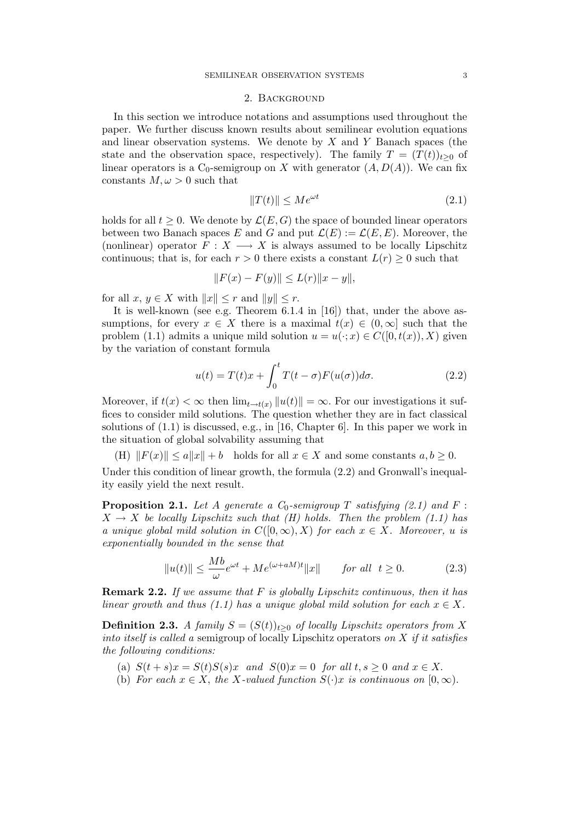#### 2. Background

In this section we introduce notations and assumptions used throughout the paper. We further discuss known results about semilinear evolution equations and linear observation systems. We denote by  $X$  and  $Y$  Banach spaces (the state and the observation space, respectively). The family  $T = (T(t))_{t\geq 0}$  of linear operators is a  $C_0$ -semigroup on X with generator  $(A, D(A))$ . We can fix constants  $M, \omega > 0$  such that

$$
||T(t)|| \le Me^{\omega t} \tag{2.1}
$$

holds for all  $t > 0$ . We denote by  $\mathcal{L}(E, G)$  the space of bounded linear operators between two Banach spaces E and G and put  $\mathcal{L}(E) := \mathcal{L}(E, E)$ . Moreover, the (nonlinear) operator  $F: X \longrightarrow X$  is always assumed to be locally Lipschitz continuous; that is, for each  $r > 0$  there exists a constant  $L(r) \geq 0$  such that

$$
||F(x) - F(y)|| \le L(r)||x - y||,
$$

for all  $x, y \in X$  with  $||x|| \leq r$  and  $||y|| \leq r$ .

It is well-known (see e.g. Theorem 6.1.4 in [16]) that, under the above assumptions, for every  $x \in X$  there is a maximal  $t(x) \in (0,\infty]$  such that the problem (1.1) admits a unique mild solution  $u = u(\cdot; x) \in C([0, t(x)), X)$  given by the variation of constant formula

$$
u(t) = T(t)x + \int_0^t T(t - \sigma) F(u(\sigma)) d\sigma.
$$
 (2.2)

Moreover, if  $t(x) < \infty$  then  $\lim_{t \to t(x)} ||u(t)|| = \infty$ . For our investigations it suffices to consider mild solutions. The question whether they are in fact classical solutions of  $(1.1)$  is discussed, e.g., in [16, Chapter 6]. In this paper we work in the situation of global solvability assuming that

(H)  $||F(x)|| \le a||x|| + b$  holds for all  $x \in X$  and some constants  $a, b \ge 0$ .

Under this condition of linear growth, the formula (2.2) and Gronwall's inequality easily yield the next result.

**Proposition 2.1.** Let A generate a  $C_0$ -semigroup T satisfying (2.1) and F :  $X \rightarrow X$  be locally Lipschitz such that (H) holds. Then the problem (1.1) has a unique global mild solution in  $C([0,\infty), X)$  for each  $x \in X$ . Moreover, u is exponentially bounded in the sense that

$$
||u(t)|| \le \frac{Mb}{\omega}e^{\omega t} + Me^{(\omega + aM)t}||x|| \qquad \text{for all} \ \ t \ge 0. \tag{2.3}
$$

Remark 2.2. If we assume that F is globally Lipschitz continuous, then it has linear growth and thus (1.1) has a unique global mild solution for each  $x \in X$ .

**Definition 2.3.** A family  $S = (S(t))_{t>0}$  of locally Lipschitz operators from X into itself is called a semigroup of locally Lipschitz operators on  $X$  if it satisfies the following conditions:

- (a)  $S(t+s)x = S(t)S(s)x$  and  $S(0)x = 0$  for all  $t, s \geq 0$  and  $x \in X$ .
- (b) For each  $x \in X$ , the X-valued function  $S(\cdot)x$  is continuous on  $[0, \infty)$ .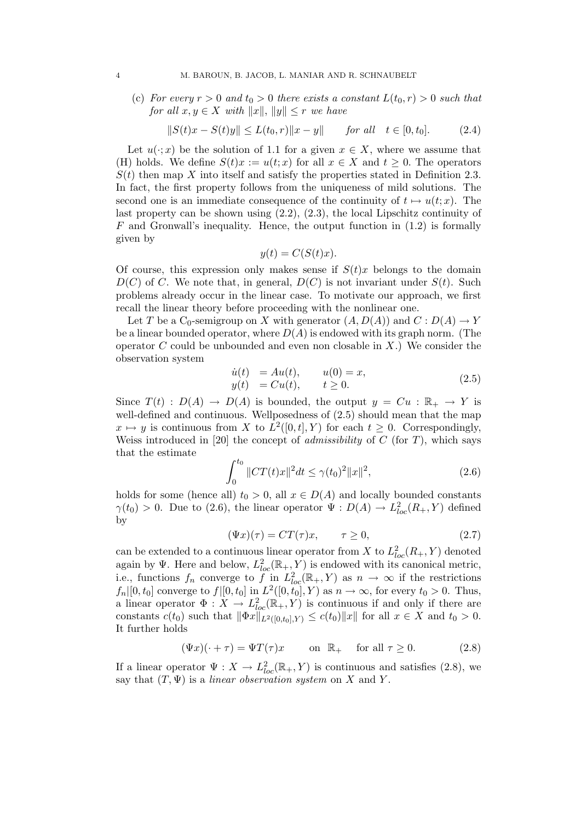(c) For every  $r > 0$  and  $t_0 > 0$  there exists a constant  $L(t_0, r) > 0$  such that for all  $x, y \in X$  with  $||x||, ||y|| \leq r$  we have

$$
||S(t)x - S(t)y|| \le L(t_0, r) ||x - y|| \quad \text{for all} \quad t \in [0, t_0]. \tag{2.4}
$$

Let  $u(\cdot; x)$  be the solution of 1.1 for a given  $x \in X$ , where we assume that (H) holds. We define  $S(t)x := u(t;x)$  for all  $x \in X$  and  $t \geq 0$ . The operators  $S(t)$  then map X into itself and satisfy the properties stated in Definition 2.3. In fact, the first property follows from the uniqueness of mild solutions. The second one is an immediate consequence of the continuity of  $t \mapsto u(t; x)$ . The last property can be shown using (2.2), (2.3), the local Lipschitz continuity of  $F$  and Gronwall's inequality. Hence, the output function in  $(1.2)$  is formally given by

$$
y(t) = C(S(t)x).
$$

Of course, this expression only makes sense if  $S(t)x$  belongs to the domain  $D(C)$  of C. We note that, in general,  $D(C)$  is not invariant under  $S(t)$ . Such problems already occur in the linear case. To motivate our approach, we first recall the linear theory before proceeding with the nonlinear one.

Let T be a  $C_0$ -semigroup on X with generator  $(A, D(A))$  and  $C: D(A) \to Y$ be a linear bounded operator, where  $D(A)$  is endowed with its graph norm. (The operator  $C$  could be unbounded and even non closable in  $X$ .) We consider the observation system

$$
\dot{u}(t) = Au(t), \t u(0) = x,\n y(t) = Cu(t), \t t \ge 0.
$$
\n(2.5)

Since  $T(t) : D(A) \to D(A)$  is bounded, the output  $y = Cu : \mathbb{R}_+ \to Y$  is well-defined and continuous. Wellposedness of  $(2.5)$  should mean that the map  $x \mapsto y$  is continuous from X to  $L^2([0,t], Y)$  for each  $t \geq 0$ . Correspondingly, Weiss introduced in [20] the concept of *admissibility* of  $C$  (for  $T$ ), which says that the estimate

$$
\int_0^{t_0} \|CT(t)x\|^2 dt \le \gamma(t_0)^2 \|x\|^2,\tag{2.6}
$$

holds for some (hence all)  $t_0 > 0$ , all  $x \in D(A)$  and locally bounded constants  $\gamma(t_0) > 0$ . Due to (2.6), the linear operator  $\Psi : D(A) \to L^2_{loc}(R_+, Y)$  defined by

$$
(\Psi x)(\tau) = CT(\tau)x, \qquad \tau \ge 0,
$$
\n(2.7)

can be extended to a continuous linear operator from X to  $L^2_{loc}(R_+, Y)$  denoted again by  $\Psi$ . Here and below,  $L^2_{loc}(\mathbb{R}_+, Y)$  is endowed with its canonical metric, i.e., functions  $f_n$  converge to  $\tilde{f}$  in  $L^2_{loc}(\mathbb{R}_+, Y)$  as  $n \to \infty$  if the restrictions  $f_n|[0, t_0]$  converge to  $f|[0, t_0]$  in  $L^2([0, t_0], Y)$  as  $n \to \infty$ , for every  $t_0 > 0$ . Thus, a linear operator  $\Phi: X \to L^2_{loc}(\mathbb{R}_+, Y)$  is continuous if and only if there are constants  $c(t_0)$  such that  $\|\Phi x\|_{L^2([0,t_0],Y)} \leq c(t_0)\|x\|$  for all  $x \in X$  and  $t_0 > 0$ . It further holds

$$
(\Psi x)(\cdot + \tau) = \Psi T(\tau)x \qquad \text{on } \mathbb{R}_+ \quad \text{for all } \tau \ge 0. \tag{2.8}
$$

If a linear operator  $\Psi: X \to L^2_{loc}(\mathbb{R}_+, Y)$  is continuous and satisfies (2.8), we say that  $(T, \Psi)$  is a *linear observation system* on X and Y.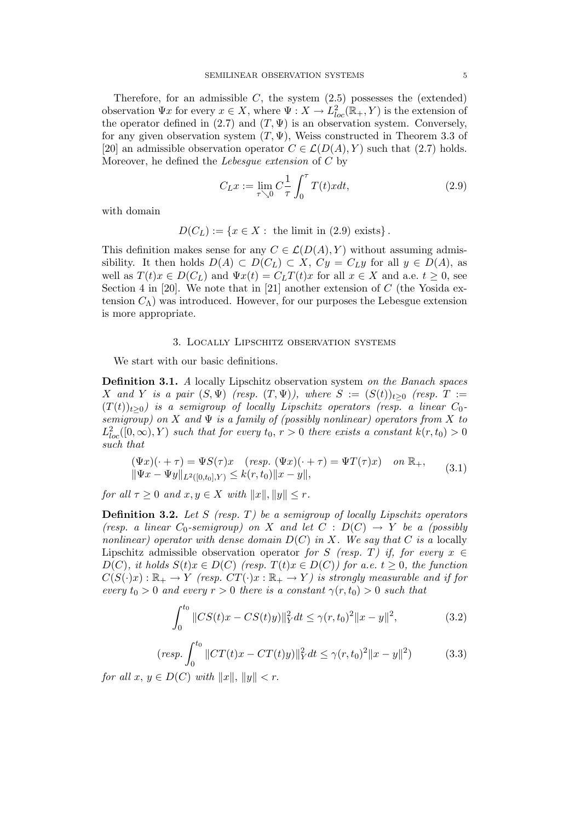Therefore, for an admissible  $C$ , the system  $(2.5)$  possesses the (extended) observation  $\Psi x$  for every  $x \in X$ , where  $\Psi : X \to L^2_{loc}(\mathbb{R}_+, Y)$  is the extension of the operator defined in (2.7) and  $(T, \Psi)$  is an observation system. Conversely, for any given observation system  $(T, \Psi)$ , Weiss constructed in Theorem 3.3 of [20] an admissible observation operator  $C \in \mathcal{L}(D(A), Y)$  such that (2.7) holds. Moreover, he defined the Lebesgue extension of C by

$$
C_{L}x := \lim_{\tau \searrow 0} C \frac{1}{\tau} \int_0^{\tau} T(t)x dt,
$$
\n(2.9)

with domain

$$
D(C_L) := \{ x \in X : \text{ the limit in (2.9) exists} \}.
$$

This definition makes sense for any  $C \in \mathcal{L}(D(A), Y)$  without assuming admissibility. It then holds  $D(A) \subset D(C_L) \subset X$ ,  $Cy = C_Ly$  for all  $y \in D(A)$ , as well as  $T(t)x \in D(C_L)$  and  $\Psi x(t) = C_L T(t)x$  for all  $x \in X$  and a.e.  $t \geq 0$ , see Section 4 in [20]. We note that in [21] another extension of  $C$  (the Yosida extension  $C_{\Lambda}$ ) was introduced. However, for our purposes the Lebesgue extension is more appropriate.

### 3. Locally Lipschitz observation systems

We start with our basic definitions.

Definition 3.1. A locally Lipschitz observation system on the Banach spaces X and Y is a pair  $(S, \Psi)$  (resp.  $(T, \Psi)$ ), where  $S := (S(t))_{t \geq 0}$  (resp.  $T :=$  $(T(t))_{t\geq0}$ ) is a semigroup of locally Lipschitz operators (resp. a linear  $C_0$ semigroup) on X and  $\Psi$  is a family of (possibly nonlinear) operators from X to  $L^2_{loc}([0,\infty), Y)$  such that for every  $t_0, r > 0$  there exists a constant  $k(r, t_0) > 0$ such that

$$
(\Psi x)(\cdot + \tau) = \Psi S(\tau)x \quad (resp. \ (\Psi x)(\cdot + \tau) = \Psi T(\tau)x) \quad on \ \mathbb{R}_{+},
$$
  

$$
\|\Psi x - \Psi y\|_{L^{2}([0,t_{0}],Y)} \leq k(r,t_{0})\|x - y\|,
$$
 (3.1)

for all  $\tau \geq 0$  and  $x, y \in X$  with  $||x||, ||y|| \leq r$ .

**Definition 3.2.** Let S (resp. T) be a semigroup of locally Lipschitz operators (resp. a linear  $C_0$ -semigroup) on X and let  $C : D(C) \rightarrow Y$  be a (possibly nonlinear) operator with dense domain  $D(C)$  in X. We say that C is a locally Lipschitz admissible observation operator for S (resp. T) if, for every  $x \in$  $D(C)$ , it holds  $S(t)x \in D(C)$  (resp.  $T(t)x \in D(C)$ ) for a.e.  $t \geq 0$ , the function  $C(S(\cdot)x): \mathbb{R}_+ \to Y$  (resp.  $CT(\cdot)x : \mathbb{R}_+ \to Y$ ) is strongly measurable and if for every  $t_0 > 0$  and every  $r > 0$  there is a constant  $\gamma(r, t_0) > 0$  such that

$$
\int_0^{t_0} \|CS(t)x - CS(t)y\|_Y^2 dt \le \gamma(r, t_0)^2 \|x - y\|^2,\tag{3.2}
$$

$$
(resp. \int_0^{t_0} \|CT(t)x - CT(t)y)\|_Y^2 dt \le \gamma(r, t_0)^2 \|x - y\|^2)
$$
 (3.3)

for all  $x, y \in D(C)$  with  $||x||, ||y|| < r$ .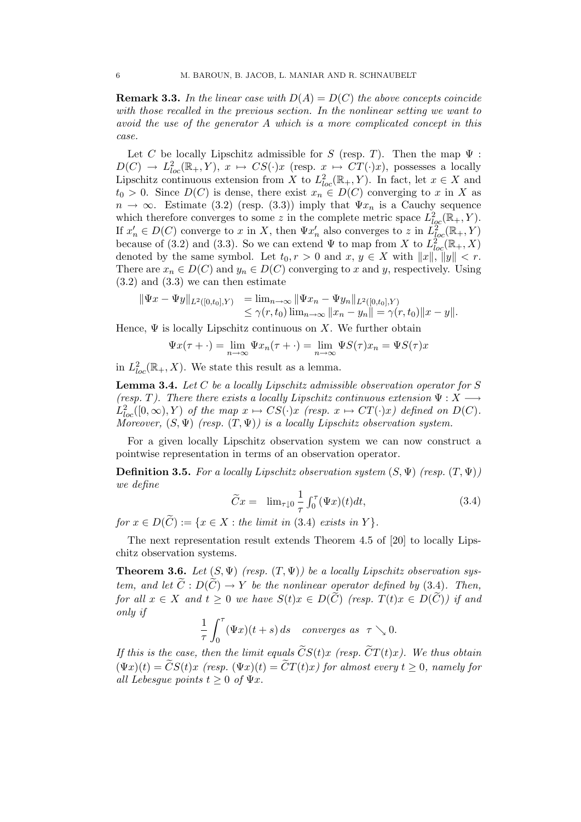**Remark 3.3.** In the linear case with  $D(A) = D(C)$  the above concepts coincide with those recalled in the previous section. In the nonlinear setting we want to avoid the use of the generator A which is a more complicated concept in this case.

Let C be locally Lipschitz admissible for S (resp. T). Then the map  $\Psi$ :  $D(C) \to L^2_{loc}(\mathbb{R}_+, Y), x \mapsto CS(\cdot)x$  (resp.  $x \mapsto CT(\cdot)x$ ), possesses a locally Lipschitz continuous extension from X to  $L^2_{loc}(\mathbb{R}_+, Y)$ . In fact, let  $x \in X$  and  $t_0 > 0$ . Since  $D(C)$  is dense, there exist  $x_n \in D(C)$  converging to x in X as  $n \to \infty$ . Estimate (3.2) (resp. (3.3)) imply that  $\Psi x_n$  is a Cauchy sequence which therefore converges to some z in the complete metric space  $L^2_{loc}(\mathbb{R}_+, Y)$ . If  $x'_n \in D(C)$  converge to x in X, then  $\Psi x'_n$  also converges to z in  $L^2_{loc}(\mathbb{R}_+, Y)$ because of (3.2) and (3.3). So we can extend  $\Psi$  to map from X to  $L^{2}_{loc}(\mathbb{R}_{+},X)$ denoted by the same symbol. Let  $t_0, r > 0$  and  $x, y \in X$  with  $||x||, ||y|| < r$ . There are  $x_n \in D(C)$  and  $y_n \in D(C)$  converging to x and y, respectively. Using  $(3.2)$  and  $(3.3)$  we can then estimate

$$
\begin{array}{ll}\n\|\Psi x - \Psi y\|_{L^2([0,t_0],Y)} &= \lim_{n \to \infty} \|\Psi x_n - \Psi y_n\|_{L^2([0,t_0],Y)} \\
&\leq \gamma(r,t_0) \lim_{n \to \infty} \|x_n - y_n\| = \gamma(r,t_0) \|x - y\|.\n\end{array}
$$

Hence,  $\Psi$  is locally Lipschitz continuous on X. We further obtain

$$
\Psi x(\tau + \cdot) = \lim_{n \to \infty} \Psi x_n(\tau + \cdot) = \lim_{n \to \infty} \Psi S(\tau) x_n = \Psi S(\tau) x
$$

in  $L^2_{loc}(\mathbb{R}_+, X)$ . We state this result as a lemma.

**Lemma 3.4.** Let  $C$  be a locally Lipschitz admissible observation operator for  $S$ (resp. T). There there exists a locally Lipschitz continuous extension  $\Psi: X \longrightarrow$  $L^2_{loc}([0,\infty), Y)$  of the map  $x \mapsto CS(\cdot)x$  (resp.  $x \mapsto CT(\cdot)x$ ) defined on  $D(C)$ . Moreover,  $(S, \Psi)$  (resp.  $(T, \Psi)$ ) is a locally Lipschitz observation system.

For a given locally Lipschitz observation system we can now construct a pointwise representation in terms of an observation operator.

**Definition 3.5.** For a locally Lipschitz observation system  $(S, \Psi)$  (resp.  $(T, \Psi)$ ) we define

$$
\widetilde{C}x = \lim_{\tau \downarrow 0} \frac{1}{\tau} \int_0^\tau (\Psi x)(t) dt, \tag{3.4}
$$

for  $x \in D(\widetilde{C}) := \{x \in X : \text{the limit in (3.4) exists in } Y\}.$ 

The next representation result extends Theorem 4.5 of [20] to locally Lipschitz observation systems.

**Theorem 3.6.** Let  $(S, \Psi)$  (resp.  $(T, \Psi)$ ) be a locally Lipschitz observation system, and let  $\widetilde{C}: D(\widetilde{C}) \to Y$  be the nonlinear operator defined by (3.4). Then, for all  $x \in X$  and  $t \geq 0$  we have  $S(t)x \in D(\widetilde{C})$  (resp.  $T(t)x \in D(\widetilde{C})$ ) if and only if

$$
\frac{1}{\tau}\int_0^\tau (\Psi x)(t+s)\,ds \quad converges \ as \ \ \tau \searrow 0.
$$

If this is the case, then the limit equals  $CS(t)x$  (resp.  $CT(t)x$ ). We thus obtain  $(\Psi x)(t) = \widetilde{C}S(t)x$  (resp.  $(\Psi x)(t) = \widetilde{C}T(t)x$ ) for almost every  $t \geq 0$ , namely for all Lebesque points  $t > 0$  of  $\Psi x$ .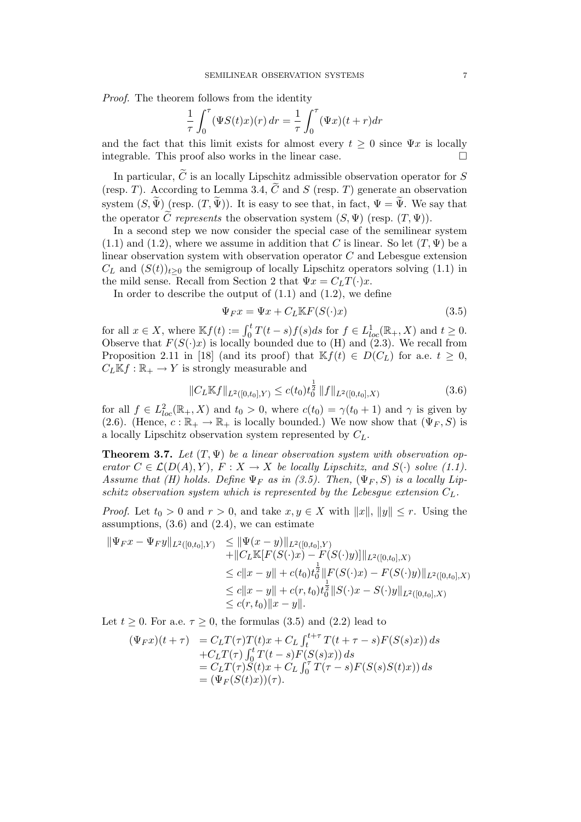Proof. The theorem follows from the identity

$$
\frac{1}{\tau} \int_0^\tau (\Psi S(t)x)(r) dr = \frac{1}{\tau} \int_0^\tau (\Psi x)(t+r) dr
$$

and the fact that this limit exists for almost every  $t \geq 0$  since  $\Psi x$  is locally integrable. This proof also works in the linear case.  $\Box$ 

In particular,  $\tilde{C}$  is an locally Lipschitz admissible observation operator for S (resp. T). According to Lemma 3.4,  $\tilde{C}$  and S (resp. T) generate an observation system  $(S, \widetilde{\Psi})$  (resp.  $(T, \widetilde{\Psi})$ ). It is easy to see that, in fact,  $\Psi = \widetilde{\Psi}$ . We say that the operator  $\tilde{C}$  represents the observation system  $(S, \Psi)$  (resp.  $(T, \Psi)$ ).

In a second step we now consider the special case of the semilinear system  $(1.1)$  and  $(1.2)$ , where we assume in addition that C is linear. So let  $(T, \Psi)$  be a linear observation system with observation operator C and Lebesgue extension  $C_L$  and  $(S(t))_{t>0}$  the semigroup of locally Lipschitz operators solving (1.1) in the mild sense. Recall from Section 2 that  $\Psi x = C_L T(\cdot) x$ .

In order to describe the output of  $(1.1)$  and  $(1.2)$ , we define

$$
\Psi_F x = \Psi x + C_L \mathbb{K} F(S(\cdot)x) \tag{3.5}
$$

for all  $x \in X$ , where  $\mathbb{K}f(t) := \int_0^t T(t-s)f(s)ds$  for  $f \in L^1_{loc}(\mathbb{R}_+, X)$  and  $t \geq 0$ . Observe that  $F(S(\cdot)x)$  is locally bounded due to (H) and (2.3). We recall from Proposition 2.11 in [18] (and its proof) that  $\mathbb{K} f(t) \in D(C_L)$  for a.e.  $t \geq 0$ ,  $C_L \mathbb{K} f : \mathbb{R}_+ \to Y$  is strongly measurable and

$$
||C_L \mathbb{K}f||_{L^2([0,t_0],Y)} \le c(t_0)t_0^{\frac{1}{2}} ||f||_{L^2([0,t_0],X)}
$$
\n(3.6)

for all  $f \in L^2_{loc}(\mathbb{R}_+, X)$  and  $t_0 > 0$ , where  $c(t_0) = \gamma(t_0 + 1)$  and  $\gamma$  is given by (2.6). (Hence,  $c : \mathbb{R}_+ \to \mathbb{R}_+$  is locally bounded.) We now show that  $(\Psi_F, S)$  is a locally Lipschitz observation system represented by  $C_L$ .

**Theorem 3.7.** Let  $(T, \Psi)$  be a linear observation system with observation operator  $C \in \mathcal{L}(D(A), Y)$ ,  $F : X \to X$  be locally Lipschitz, and  $S(\cdot)$  solve (1.1). Assume that (H) holds. Define  $\Psi_F$  as in (3.5). Then,  $(\Psi_F, S)$  is a locally Lipschitz observation system which is represented by the Lebesque extension  $C_L$ .

*Proof.* Let  $t_0 > 0$  and  $r > 0$ , and take  $x, y \in X$  with  $||x||, ||y|| \leq r$ . Using the assumptions,  $(3.6)$  and  $(2.4)$ , we can estimate

$$
\begin{aligned} \|\Psi_F x - \Psi_F y\|_{L^2([0,t_0],Y)} &\leq \|\Psi(x - y)\|_{L^2([0,t_0],Y)} \\ &+ \|C_L \mathbb{K}[F(S(\cdot)x) - F(S(\cdot)y)]\|_{L^2([0,t_0],X)} \\ &\leq c \|x - y\| + c(t_0)t_0^{\frac{1}{2}} \|F(S(\cdot)x) - F(S(\cdot)y)\|_{L^2([0,t_0],X)} \\ &\leq c \|x - y\| + c(r,t_0)t_0^{\frac{1}{2}} \|S(\cdot)x - S(\cdot)y\|_{L^2([0,t_0],X)} \\ &\leq c(r,t_0) \|x - y\|. \end{aligned}
$$

Let  $t \geq 0$ . For a.e.  $\tau \geq 0$ , the formulas (3.5) and (2.2) lead to

$$
\begin{array}{ll} (\Psi_F x)(t+\tau) & = C_L T(\tau)T(t)x + C_L \int_t^{t+\tau} T(t+\tau-s)F(S(s)x)) \, ds \\ & + C_L T(\tau) \int_0^t T(t-s)F(S(s)x)) \, ds \\ & = C_L T(\tau)S(t)x + C_L \int_0^{\tau} T(\tau-s)F(S(s)S(t)x)) \, ds \\ & = (\Psi_F(S(t)x))(\tau). \end{array}
$$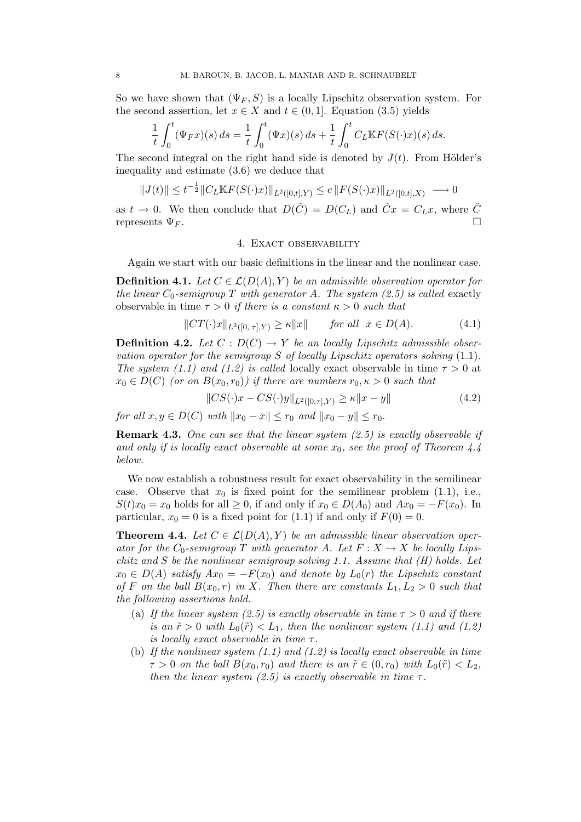So we have shown that  $(\Psi_F, S)$  is a locally Lipschitz observation system. For the second assertion, let  $x \in X$  and  $t \in (0,1]$ . Equation (3.5) yields

$$
\frac{1}{t} \int_0^t (\Psi_F x)(s) \, ds = \frac{1}{t} \int_0^t (\Psi x)(s) \, ds + \frac{1}{t} \int_0^t C_L \mathbb{K} F(S(\cdot)x)(s) \, ds.
$$

The second integral on the right hand side is denoted by  $J(t)$ . From Hölder's inequality and estimate (3.6) we deduce that

$$
||J(t)|| \leq t^{-\frac{1}{2}} ||C_L \mathbb K F(S(\cdot)x)||_{L^2([0,t],Y)} \leq c ||F(S(\cdot)x)||_{L^2([0,t],X)} \longrightarrow 0
$$

as  $t \to 0$ . We then conclude that  $D(\tilde{C}) = D(C_L)$  and  $\tilde{C}x = C_L x$ , where  $\tilde{C}$ represents  $\Psi_F$ .

#### 4. EXACT OBSERVABILITY

Again we start with our basic definitions in the linear and the nonlinear case.

**Definition 4.1.** Let  $C \in \mathcal{L}(D(A), Y)$  be an admissible observation operator for the linear  $C_0$ -semigroup T with generator A. The system (2.5) is called exactly observable in time  $\tau > 0$  if there is a constant  $\kappa > 0$  such that

$$
||CT(\cdot)x||_{L^2([0,\tau],Y)} \ge \kappa ||x|| \quad \text{for all } x \in D(A). \tag{4.1}
$$

**Definition 4.2.** Let  $C: D(C) \rightarrow Y$  be an locally Lipschitz admissible observation operator for the semigroup S of locally Lipschitz operators solving  $(1.1)$ . The system (1.1) and (1.2) is called locally exact observable in time  $\tau > 0$  at  $x_0 \in D(C)$  (or on  $B(x_0, r_0)$ ) if there are numbers  $r_0, \kappa > 0$  such that

$$
||CS(\cdot)x - CS(\cdot)y||_{L^{2}([0,\tau],Y)} \ge \kappa ||x - y|| \tag{4.2}
$$

for all  $x, y \in D(C)$  with  $||x_0 - x|| \le r_0$  and  $||x_0 - y|| \le r_0$ .

**Remark 4.3.** One can see that the linear system  $(2.5)$  is exactly observable if and only if is locally exact observable at some  $x_0$ , see the proof of Theorem 4.4 below.

We now establish a robustness result for exact observability in the semilinear case. Observe that  $x_0$  is fixed point for the semilinear problem (1.1), i.e.,  $S(t)x_0 = x_0$  holds for all  $\geq 0$ , if and only if  $x_0 \in D(A_0)$  and  $Ax_0 = -F(x_0)$ . In particular,  $x_0 = 0$  is a fixed point for (1.1) if and only if  $F(0) = 0$ .

**Theorem 4.4.** Let  $C \in \mathcal{L}(D(A), Y)$  be an admissible linear observation operator for the  $C_0$ -semigroup T with generator A. Let  $F: X \to X$  be locally Lipschitz and S be the nonlinear semigroup solving 1.1. Assume that  $(H)$  holds. Let  $x_0 \in D(A)$  satisfy  $Ax_0 = -F(x_0)$  and denote by  $L_0(r)$  the Lipschitz constant of F on the ball  $B(x_0, r)$  in X. Then there are constants  $L_1, L_2 > 0$  such that the following assertions hold.

- (a) If the linear system (2.5) is exactly observable in time  $\tau > 0$  and if there is an  $\tilde{r} > 0$  with  $L_0(\tilde{r}) < L_1$ , then the nonlinear system (1.1) and (1.2) is locally exact observable in time  $\tau$ .
- (b) If the nonlinear system  $(1.1)$  and  $(1.2)$  is locally exact observable in time  $\tau > 0$  on the ball  $B(x_0, r_0)$  and there is an  $\tilde{r} \in (0, r_0)$  with  $L_0(\tilde{r}) < L_2$ , then the linear system (2.5) is exactly observable in time  $\tau$ .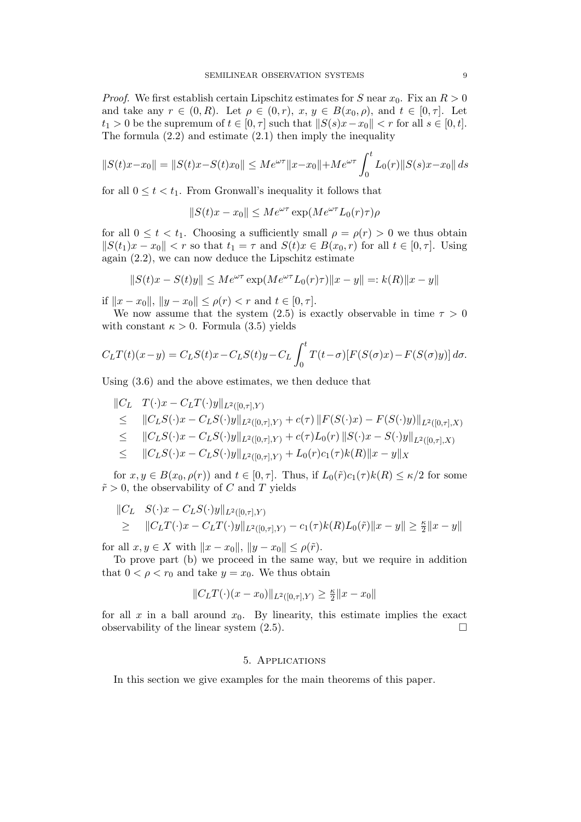*Proof.* We first establish certain Lipschitz estimates for S near  $x_0$ . Fix an  $R > 0$ and take any  $r \in (0, R)$ . Let  $\rho \in (0, r)$ ,  $x, y \in B(x_0, \rho)$ , and  $t \in [0, \tau]$ . Let  $t_1 > 0$  be the supremum of  $t \in [0, \tau]$  such that  $||S(s)x-x_0|| < r$  for all  $s \in [0, t]$ . The formula  $(2.2)$  and estimate  $(2.1)$  then imply the inequality

$$
||S(t)x - x_0|| = ||S(t)x - S(t)x_0|| \le Me^{\omega \tau} ||x - x_0|| + Me^{\omega \tau} \int_0^t L_0(r) ||S(s)x - x_0|| ds
$$

for all  $0 \le t < t_1$ . From Gronwall's inequality it follows that

$$
||S(t)x - x_0|| \le Me^{\omega \tau} \exp(M e^{\omega \tau} L_0(r) \tau)\rho
$$

for all  $0 \le t < t_1$ . Choosing a sufficiently small  $\rho = \rho(r) > 0$  we thus obtain  $||S(t_1)x - x_0|| < r$  so that  $t_1 = \tau$  and  $S(t)x \in B(x_0, r)$  for all  $t \in [0, \tau]$ . Using again (2.2), we can now deduce the Lipschitz estimate

$$
||S(t)x - S(t)y|| \le Me^{\omega \tau} \exp(M e^{\omega \tau} L_0(r) \tau)||x - y|| =: k(R)||x - y||
$$

if  $||x - x_0||, ||y - x_0|| \le \rho(r) < r$  and  $t \in [0, \tau]$ .

We now assume that the system (2.5) is exactly observable in time  $\tau > 0$ with constant  $\kappa > 0$ . Formula (3.5) yields

$$
C_L T(t)(x-y) = C_L S(t)x - C_L S(t)y - C_L \int_0^t T(t-\sigma)[F(S(\sigma)x) - F(S(\sigma)y)] d\sigma.
$$

Using (3.6) and the above estimates, we then deduce that

$$
\|C_L \tT(\cdot)x - C_L T(\cdot)y\|_{L^2([0,\tau],Y)}\n\leq \|C_L S(\cdot)x - C_L S(\cdot)y\|_{L^2([0,\tau],Y)} + c(\tau) \|F(S(\cdot)x) - F(S(\cdot)y)\|_{L^2([0,\tau],X)}\n\leq \|C_L S(\cdot)x - C_L S(\cdot)y\|_{L^2([0,\tau],Y)} + c(\tau)L_0(r) \|S(\cdot)x - S(\cdot)y\|_{L^2([0,\tau],X)}\n\leq \|C_L S(\cdot)x - C_L S(\cdot)y\|_{L^2([0,\tau],Y)} + L_0(r)c_1(\tau)k(R)\|x - y\|_X
$$

for  $x, y \in B(x_0, \rho(r))$  and  $t \in [0, \tau]$ . Thus, if  $L_0(\tilde{r})c_1(\tau)k(R) \leq \kappa/2$  for some  $\tilde{r} > 0$ , the observability of C and T yields

$$
\|C_L S(\cdot)x - C_L S(\cdot)y\|_{L^2([0,\tau],Y)}\geq \|C_L T(\cdot)x - C_L T(\cdot)y\|_{L^2([0,\tau],Y)} - c_1(\tau)k(R)L_0(\tilde{r})\|x - y\| \geq \frac{\kappa}{2} \|x - y\|
$$

for all  $x, y \in X$  with  $||x - x_0||, ||y - x_0|| \le \rho(\tilde{r}).$ 

To prove part (b) we proceed in the same way, but we require in addition that  $0 < \rho < r_0$  and take  $y = x_0$ . We thus obtain

$$
||C_L T(\cdot)(x - x_0)||_{L^2([0,\tau],Y)} \ge \frac{\kappa}{2} ||x - x_0||
$$

for all x in a ball around  $x_0$ . By linearity, this estimate implies the exact observability of the linear system  $(2.5)$ .

## 5. Applications

In this section we give examples for the main theorems of this paper.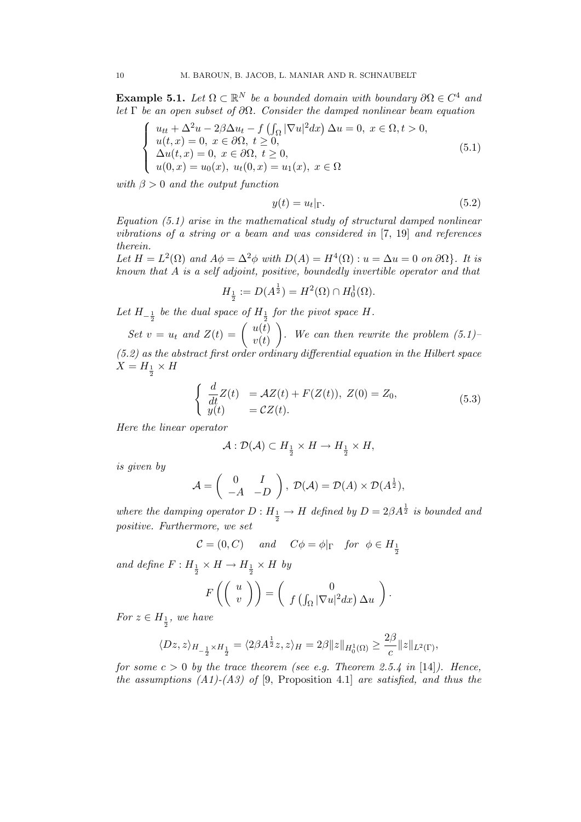**Example 5.1.** Let  $\Omega \subset \mathbb{R}^N$  be a bounded domain with boundary  $\partial \Omega \in C^4$  and let  $\Gamma$  be an open subset of  $\partial\Omega$ . Consider the damped nonlinear beam equation

$$
\begin{cases}\nu_{tt} + \Delta^2 u - 2\beta \Delta u_t - f\left(\int_{\Omega} |\nabla u|^2 dx\right) \Delta u = 0, \ x \in \Omega, t > 0, \\
u(t, x) = 0, \ x \in \partial\Omega, \ t \ge 0, \\
\Delta u(t, x) = 0, \ x \in \partial\Omega, \ t \ge 0, \\
u(0, x) = u_0(x), \ u_t(0, x) = u_1(x), \ x \in \Omega\n\end{cases}
$$
\n(5.1)

with  $\beta > 0$  and the output function

$$
y(t) = u_t|_{\Gamma}.\tag{5.2}
$$

Equation  $(5.1)$  arise in the mathematical study of structural damped nonlinear vibrations of a string or a beam and was considered in [7, 19] and references therein.

Let  $H = L^2(\Omega)$  and  $A\phi = \Delta^2 \phi$  with  $D(A) = H^4(\Omega)$ :  $u = \Delta u = 0$  on  $\partial \Omega$ . It is known that A is a self adjoint, positive, boundedly invertible operator and that

$$
H_{\frac{1}{2}} := D(A^{\frac{1}{2}}) = H^{2}(\Omega) \cap H_{0}^{1}(\Omega).
$$

Let  $H_{-\frac{1}{2}}$  be the dual space of  $H_{\frac{1}{2}}$  for the pivot space H.

Set  $v = u_t$  and  $Z(t) = \begin{pmatrix} u(t) \\ v(t) \end{pmatrix}$  $v(t)$  $\bigg)$ . We can then rewrite the problem  $(5.1)$  $(5.2)$  as the abstract first order ordinary differential equation in the Hilbert space  $X = H_{\frac{1}{2}} \times H$ 

$$
\begin{cases}\n\frac{d}{dt}Z(t) = \mathcal{A}Z(t) + F(Z(t)), Z(0) = Z_0, \\
y(t) = \mathcal{C}Z(t).\n\end{cases}
$$
\n(5.3)

Here the linear operator

$$
\mathcal{A}: \mathcal{D}(\mathcal{A}) \subset H_{\frac{1}{2}} \times H \to H_{\frac{1}{2}} \times H,
$$

is given by

$$
\mathcal{A} = \begin{pmatrix} 0 & I \\ -A & -D \end{pmatrix}, \ \mathcal{D}(\mathcal{A}) = \mathcal{D}(A) \times \mathcal{D}(A^{\frac{1}{2}}),
$$

where the damping operator  $D: H_{\frac{1}{2}} \to H$  defined by  $D = 2\beta A^{\frac{1}{2}}$  is bounded and positive. Furthermore, we set

$$
\mathcal{C} = (0, C) \quad \text{and} \quad C\phi = \phi|_{\Gamma} \quad \text{for} \ \phi \in H_{\frac{1}{2}}
$$

and define  $F: H_{\frac{1}{2}} \times H \to H_{\frac{1}{2}} \times H$  by

$$
F\left(\left(\begin{array}{c}u\\v\end{array}\right)\right)=\left(\begin{array}{c}0\\f\left(\int_{\Omega}|\nabla u|^2dx\right)\Delta u\end{array}\right).
$$

For  $z \in H_{\frac{1}{2}}$ , we have

$$
\langle Dz, z \rangle_{H_{-\frac{1}{2}} \times H_{\frac{1}{2}}} = \langle 2\beta A^{\frac{1}{2}}z, z \rangle_H = 2\beta \|z\|_{H_0^1(\Omega)} \ge \frac{2\beta}{c} \|z\|_{L^2(\Gamma)},
$$

for some  $c > 0$  by the trace theorem (see e.g. Theorem 2.5.4 in [14]). Hence, the assumptions  $(A1)$ - $(A3)$  of [9, Proposition 4.1] are satisfied, and thus the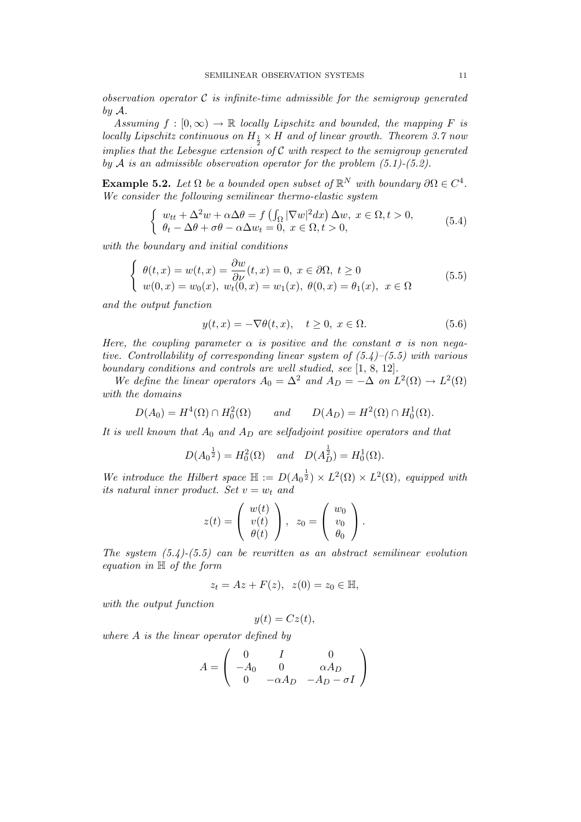observation operator  $\mathcal C$  is infinite-time admissible for the semigroup generated by  $\mathcal{A}$ .

Assuming  $f : [0, \infty) \to \mathbb{R}$  locally Lipschitz and bounded, the mapping F is locally Lipschitz continuous on  $H_1 \times H$  and of linear growth. Theorem 3.7 now implies that the Lebesgue extension of  $\mathcal C$  with respect to the semigroup generated by A is an admissible observation operator for the problem  $(5.1)$ - $(5.2)$ .

**Example 5.2.** Let  $\Omega$  be a bounded open subset of  $\mathbb{R}^N$  with boundary  $\partial \Omega \in C^4$ . We consider the following semilinear thermo-elastic system

$$
\begin{cases}\nw_{tt} + \Delta^2 w + \alpha \Delta \theta = f\left(\int_{\Omega} |\nabla w|^2 dx\right) \Delta w, \ x \in \Omega, t > 0, \\
\theta_t - \Delta \theta + \sigma \theta - \alpha \Delta w_t = 0, \ x \in \Omega, t > 0,\n\end{cases} \tag{5.4}
$$

with the boundary and initial conditions

$$
\begin{cases}\n\theta(t,x) = w(t,x) = \frac{\partial w}{\partial \nu}(t,x) = 0, \ x \in \partial \Omega, \ t \ge 0 \\
w(0,x) = w_0(x), \ w_t(0,x) = w_1(x), \ \theta(0,x) = \theta_1(x), \ x \in \Omega\n\end{cases}
$$
\n(5.5)

and the output function

$$
y(t,x) = -\nabla\theta(t,x), \quad t \ge 0, \ x \in \Omega.
$$
 (5.6)

Here, the coupling parameter  $\alpha$  is positive and the constant  $\sigma$  is non negative. Controllability of corresponding linear system of  $(5.4)$ – $(5.5)$  with various boundary conditions and controls are well studied, see [1, 8, 12].

We define the linear operators  $A_0 = \Delta^2$  and  $A_D = -\Delta$  on  $L^2(\Omega) \to L^2(\Omega)$ with the domains

$$
D(A_0) = H^4(\Omega) \cap H_0^2(\Omega) \qquad and \qquad D(A_D) = H^2(\Omega) \cap H_0^1(\Omega).
$$

It is well known that  $A_0$  and  $A_D$  are selfadjoint positive operators and that

$$
D(A_0^{\frac{1}{2}}) = H_0^2(\Omega)
$$
 and  $D(A_D^{\frac{1}{2}}) = H_0^1(\Omega)$ .

We introduce the Hilbert space  $\mathbb{H} := D(A_0^{\frac{1}{2}}) \times L^2(\Omega) \times L^2(\Omega)$ , equipped with its natural inner product. Set  $v = w_t$  and

$$
z(t) = \begin{pmatrix} w(t) \\ v(t) \\ \theta(t) \end{pmatrix}, \ z_0 = \begin{pmatrix} w_0 \\ v_0 \\ \theta_0 \end{pmatrix}.
$$

The system  $(5.4)$ - $(5.5)$  can be rewritten as an abstract semilinear evolution equation in H of the form

$$
z_t = Az + F(z), \ \ z(0) = z_0 \in \mathbb{H},
$$

with the output function

$$
y(t) = Cz(t),
$$

where A is the linear operator defined by

$$
A = \begin{pmatrix} 0 & I & 0 \\ -A_0 & 0 & \alpha A_D \\ 0 & -\alpha A_D & -A_D - \sigma I \end{pmatrix}
$$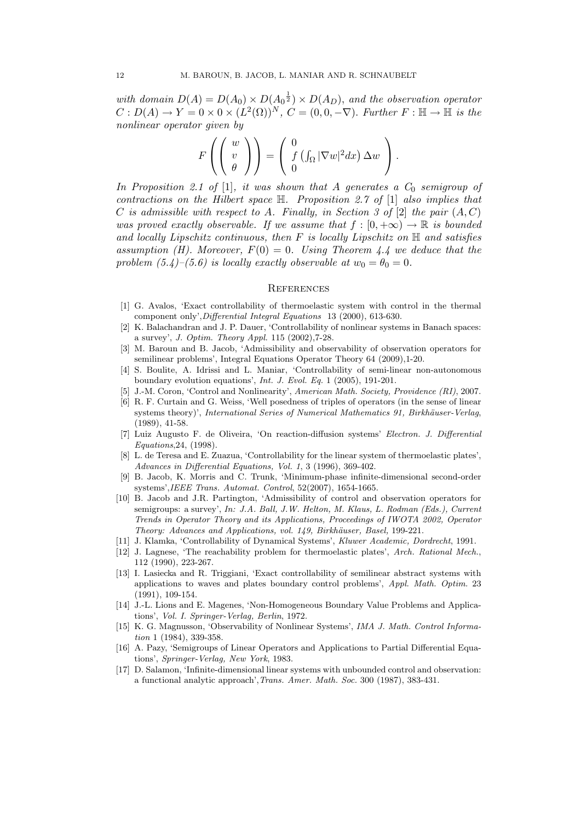with domain  $D(A) = D(A_0) \times D(A_0^{\frac{1}{2}}) \times D(A_D)$ , and the observation operator  $C: D(A) \to Y = 0 \times 0 \times (L^2(\Omega))^N$ ,  $C = (0, 0, -\nabla)$ . Further  $F: \mathbb{H} \to \mathbb{H}$  is the nonlinear operator given by

$$
F\left(\left(\begin{array}{c}w\\v\\ \theta\end{array}\right)\right)=\left(\begin{array}{c}0\\f\left(\int_{\Omega}|\nabla w|^{2}dx\right)\Delta w\\0\end{array}\right).
$$

In Proposition 2.1 of [1], it was shown that A generates a  $C_0$  semigroup of contractions on the Hilbert space  $\mathbb{H}$ . Proposition 2.7 of [1] also implies that C is admissible with respect to A. Finally, in Section 3 of  $[2]$  the pair  $(A, C)$ was proved exactly observable. If we assume that  $f : [0, +\infty) \to \mathbb{R}$  is bounded and locally Lipschitz continuous, then  $F$  is locally Lipschitz on  $\mathbb H$  and satisfies assumption (H). Moreover,  $F(0) = 0$ . Using Theorem 4.4 we deduce that the problem  $(5.4)$ – $(5.6)$  is locally exactly observable at  $w_0 = \theta_0 = 0$ .

#### **REFERENCES**

- [1] G. Avalos, 'Exact controllability of thermoelastic system with control in the thermal component only',Differential Integral Equations 13 (2000), 613-630.
- [2] K. Balachandran and J. P. Dauer, 'Controllability of nonlinear systems in Banach spaces: a survey', J. Optim. Theory Appl. 115 (2002),7-28.
- [3] M. Baroun and B. Jacob, 'Admissibility and observability of observation operators for semilinear problems', Integral Equations Operator Theory 64 (2009),1-20.
- [4] S. Boulite, A. Idrissi and L. Maniar, 'Controllability of semi-linear non-autonomous boundary evolution equations', Int. J. Evol. Eq. 1 (2005), 191-201.
- [5] J.-M. Coron, 'Control and Nonlinearity', American Math. Society, Providence (RI), 2007.
- [6] R. F. Curtain and G. Weiss, 'Well posedness of triples of operators (in the sense of linear systems theory)', International Series of Numerical Mathematics 91, Birkhäuser-Verlag, (1989), 41-58.
- [7] Luiz Augusto F. de Oliveira, 'On reaction-diffusion systems' Electron. J. Differential Equations,24, (1998).
- [8] L. de Teresa and E. Zuazua, 'Controllability for the linear system of thermoelastic plates', Advances in Differential Equations, Vol. 1, 3 (1996), 369-402.
- [9] B. Jacob, K. Morris and C. Trunk, 'Minimum-phase infinite-dimensional second-order systems',IEEE Trans. Automat. Control, 52(2007), 1654-1665.
- [10] B. Jacob and J.R. Partington, 'Admissibility of control and observation operators for semigroups: a survey', In: J.A. Ball, J.W. Helton, M. Klaus, L. Rodman (Eds.), Current Trends in Operator Theory and its Applications, Proceedings of IWOTA 2002, Operator Theory: Advances and Applications, vol. 149, Birkhäuser, Basel, 199-221.
- [11] J. Klamka, 'Controllability of Dynamical Systems', Kluwer Academic, Dordrecht, 1991.
- [12] J. Lagnese, 'The reachability problem for thermoelastic plates', Arch. Rational Mech., 112 (1990), 223-267.
- [13] I. Lasiecka and R. Triggiani, 'Exact controllability of semilinear abstract systems with applications to waves and plates boundary control problems', Appl. Math. Optim. 23 (1991), 109-154.
- [14] J.-L. Lions and E. Magenes, 'Non-Homogeneous Boundary Value Problems and Applications', Vol. I. Springer-Verlag, Berlin, 1972.
- [15] K. G. Magnusson, 'Observability of Nonlinear Systems', IMA J. Math. Control Information 1 (1984), 339-358.
- [16] A. Pazy, 'Semigroups of Linear Operators and Applications to Partial Differential Equations', Springer-Verlag, New York, 1983.
- [17] D. Salamon, 'Infinite-dimensional linear systems with unbounded control and observation: a functional analytic approach',Trans. Amer. Math. Soc. 300 (1987), 383-431.